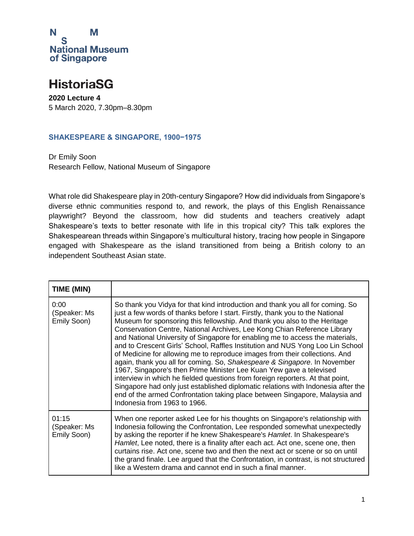

### **HistoriaSG**

**2020 Lecture 4** 5 March 2020, 7.30pm–8.30pm

#### **SHAKESPEARE & SINGAPORE, 1900−1975**

Dr Emily Soon Research Fellow, National Museum of Singapore

What role did Shakespeare play in 20th-century Singapore? How did individuals from Singapore's diverse ethnic communities respond to, and rework, the plays of this English Renaissance playwright? Beyond the classroom, how did students and teachers creatively adapt Shakespeare's texts to better resonate with life in this tropical city? This talk explores the Shakespearean threads within Singapore's multicultural history, tracing how people in Singapore engaged with Shakespeare as the island transitioned from being a British colony to an independent Southeast Asian state.

| TIME (MIN)                           |                                                                                                                                                                                                                                                                                                                                                                                                                                                                                                                                                                                                                                                                                                                                                                                                                                                                                                                                                                                                                      |
|--------------------------------------|----------------------------------------------------------------------------------------------------------------------------------------------------------------------------------------------------------------------------------------------------------------------------------------------------------------------------------------------------------------------------------------------------------------------------------------------------------------------------------------------------------------------------------------------------------------------------------------------------------------------------------------------------------------------------------------------------------------------------------------------------------------------------------------------------------------------------------------------------------------------------------------------------------------------------------------------------------------------------------------------------------------------|
| 0:00<br>(Speaker: Ms<br>Emily Soon)  | So thank you Vidya for that kind introduction and thank you all for coming. So<br>just a few words of thanks before I start. Firstly, thank you to the National<br>Museum for sponsoring this fellowship. And thank you also to the Heritage<br>Conservation Centre, National Archives, Lee Kong Chian Reference Library<br>and National University of Singapore for enabling me to access the materials,<br>and to Crescent Girls' School, Raffles Institution and NUS Yong Loo Lin School<br>of Medicine for allowing me to reproduce images from their collections. And<br>again, thank you all for coming. So, Shakespeare & Singapore. In November<br>1967, Singapore's then Prime Minister Lee Kuan Yew gave a televised<br>interview in which he fielded questions from foreign reporters. At that point,<br>Singapore had only just established diplomatic relations with Indonesia after the<br>end of the armed Confrontation taking place between Singapore, Malaysia and<br>Indonesia from 1963 to 1966. |
| 01:15<br>(Speaker: Ms<br>Emily Soon) | When one reporter asked Lee for his thoughts on Singapore's relationship with<br>Indonesia following the Confrontation, Lee responded somewhat unexpectedly<br>by asking the reporter if he knew Shakespeare's Hamlet. In Shakespeare's<br>Hamlet, Lee noted, there is a finality after each act. Act one, scene one, then<br>curtains rise. Act one, scene two and then the next act or scene or so on until<br>the grand finale. Lee argued that the Confrontation, in contrast, is not structured<br>like a Western drama and cannot end in such a final manner.                                                                                                                                                                                                                                                                                                                                                                                                                                                  |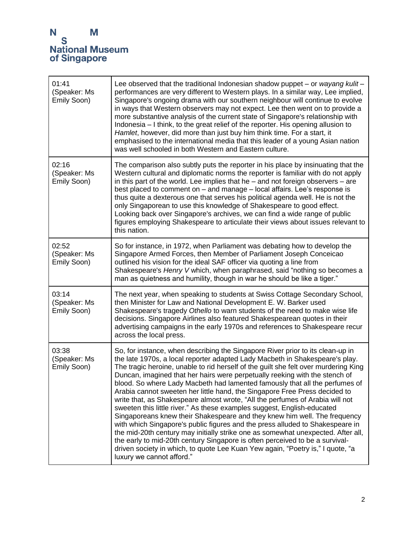| 01:41<br>(Speaker: Ms<br>Emily Soon) | Lee observed that the traditional Indonesian shadow puppet – or wayang kulit –<br>performances are very different to Western plays. In a similar way, Lee implied,<br>Singapore's ongoing drama with our southern neighbour will continue to evolve<br>in ways that Western observers may not expect. Lee then went on to provide a<br>more substantive analysis of the current state of Singapore's relationship with<br>Indonesia - I think, to the great relief of the reporter. His opening allusion to<br>Hamlet, however, did more than just buy him think time. For a start, it<br>emphasised to the international media that this leader of a young Asian nation<br>was well schooled in both Western and Eastern culture.                                                                                                                                                                                                                                                                                                                                                                             |
|--------------------------------------|----------------------------------------------------------------------------------------------------------------------------------------------------------------------------------------------------------------------------------------------------------------------------------------------------------------------------------------------------------------------------------------------------------------------------------------------------------------------------------------------------------------------------------------------------------------------------------------------------------------------------------------------------------------------------------------------------------------------------------------------------------------------------------------------------------------------------------------------------------------------------------------------------------------------------------------------------------------------------------------------------------------------------------------------------------------------------------------------------------------|
| 02:16<br>(Speaker: Ms<br>Emily Soon) | The comparison also subtly puts the reporter in his place by insinuating that the<br>Western cultural and diplomatic norms the reporter is familiar with do not apply<br>in this part of the world. Lee implies that he $-$ and not foreign observers $-$ are<br>best placed to comment on - and manage - local affairs. Lee's response is<br>thus quite a dexterous one that serves his political agenda well. He is not the<br>only Singaporean to use this knowledge of Shakespeare to good effect.<br>Looking back over Singapore's archives, we can find a wide range of public<br>figures employing Shakespeare to articulate their views about issues relevant to<br>this nation.                                                                                                                                                                                                                                                                                                                                                                                                                       |
| 02:52<br>(Speaker: Ms<br>Emily Soon) | So for instance, in 1972, when Parliament was debating how to develop the<br>Singapore Armed Forces, then Member of Parliament Joseph Conceicao<br>outlined his vision for the ideal SAF officer via quoting a line from<br>Shakespeare's Henry V which, when paraphrased, said "nothing so becomes a<br>man as quietness and humility, though in war he should be like a tiger."                                                                                                                                                                                                                                                                                                                                                                                                                                                                                                                                                                                                                                                                                                                              |
| 03:14<br>(Speaker: Ms<br>Emily Soon) | The next year, when speaking to students at Swiss Cottage Secondary School,<br>then Minister for Law and National Development E. W. Barker used<br>Shakespeare's tragedy Othello to warn students of the need to make wise life<br>decisions. Singapore Airlines also featured Shakespearean quotes in their<br>advertising campaigns in the early 1970s and references to Shakespeare recur<br>across the local press.                                                                                                                                                                                                                                                                                                                                                                                                                                                                                                                                                                                                                                                                                        |
| 03:38<br>(Speaker: Ms<br>Emily Soon) | So, for instance, when describing the Singapore River prior to its clean-up in<br>the late 1970s, a local reporter adapted Lady Macbeth in Shakespeare's play.<br>The tragic heroine, unable to rid herself of the guilt she felt over murdering King<br>Duncan, imagined that her hairs were perpetually reeking with the stench of<br>blood. So where Lady Macbeth had lamented famously that all the perfumes of<br>Arabia cannot sweeten her little hand, the Singapore Free Press decided to<br>write that, as Shakespeare almost wrote, "All the perfumes of Arabia will not<br>sweeten this little river." As these examples suggest, English-educated<br>Singaporeans knew their Shakespeare and they knew him well. The frequency<br>with which Singapore's public figures and the press alluded to Shakespeare in<br>the mid-20th century may initially strike one as somewhat unexpected. After all,<br>the early to mid-20th century Singapore is often perceived to be a survival-<br>driven society in which, to quote Lee Kuan Yew again, "Poetry is," I quote, "a<br>luxury we cannot afford." |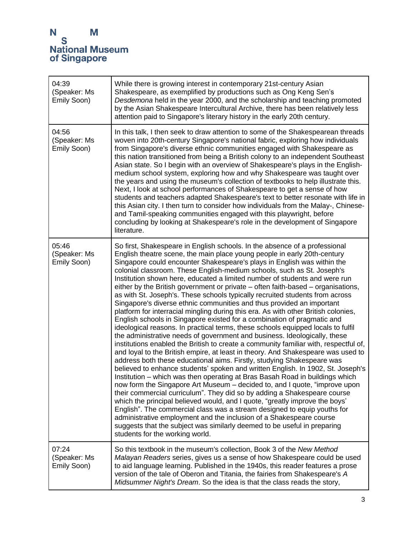| 04:39<br>(Speaker: Ms<br>Emily Soon) | While there is growing interest in contemporary 21st-century Asian<br>Shakespeare, as exemplified by productions such as Ong Keng Sen's<br>Desdemona held in the year 2000, and the scholarship and teaching promoted<br>by the Asian Shakespeare Intercultural Archive, there has been relatively less<br>attention paid to Singapore's literary history in the early 20th century.                                                                                                                                                                                                                                                                                                                                                                                                                                                                                                                                                                                                                                                                                                                                                                                                                                                                                                                                                                                                                                                                                                                                                                                                                                                                                                                                                                                                                                                                                                                         |
|--------------------------------------|--------------------------------------------------------------------------------------------------------------------------------------------------------------------------------------------------------------------------------------------------------------------------------------------------------------------------------------------------------------------------------------------------------------------------------------------------------------------------------------------------------------------------------------------------------------------------------------------------------------------------------------------------------------------------------------------------------------------------------------------------------------------------------------------------------------------------------------------------------------------------------------------------------------------------------------------------------------------------------------------------------------------------------------------------------------------------------------------------------------------------------------------------------------------------------------------------------------------------------------------------------------------------------------------------------------------------------------------------------------------------------------------------------------------------------------------------------------------------------------------------------------------------------------------------------------------------------------------------------------------------------------------------------------------------------------------------------------------------------------------------------------------------------------------------------------------------------------------------------------------------------------------------------------|
| 04:56<br>(Speaker: Ms<br>Emily Soon) | In this talk, I then seek to draw attention to some of the Shakespearean threads<br>woven into 20th-century Singapore's national fabric, exploring how individuals<br>from Singapore's diverse ethnic communities engaged with Shakespeare as<br>this nation transitioned from being a British colony to an independent Southeast<br>Asian state. So I begin with an overview of Shakespeare's plays in the English-<br>medium school system, exploring how and why Shakespeare was taught over<br>the years and using the museum's collection of textbooks to help illustrate this.<br>Next, I look at school performances of Shakespeare to get a sense of how<br>students and teachers adapted Shakespeare's text to better resonate with life in<br>this Asian city. I then turn to consider how individuals from the Malay-, Chinese-<br>and Tamil-speaking communities engaged with this playwright, before<br>concluding by looking at Shakespeare's role in the development of Singapore<br>literature.                                                                                                                                                                                                                                                                                                                                                                                                                                                                                                                                                                                                                                                                                                                                                                                                                                                                                              |
| 05:46<br>(Speaker: Ms<br>Emily Soon) | So first, Shakespeare in English schools. In the absence of a professional<br>English theatre scene, the main place young people in early 20th-century<br>Singapore could encounter Shakespeare's plays in English was within the<br>colonial classroom. These English-medium schools, such as St. Joseph's<br>Institution shown here, educated a limited number of students and were run<br>either by the British government or private – often faith-based – organisations,<br>as with St. Joseph's. These schools typically recruited students from across<br>Singapore's diverse ethnic communities and thus provided an important<br>platform for interracial mingling during this era. As with other British colonies,<br>English schools in Singapore existed for a combination of pragmatic and<br>ideological reasons. In practical terms, these schools equipped locals to fulfil<br>the administrative needs of government and business. Ideologically, these<br>institutions enabled the British to create a community familiar with, respectful of,<br>and loyal to the British empire, at least in theory. And Shakespeare was used to<br>address both these educational aims. Firstly, studying Shakespeare was<br>believed to enhance students' spoken and written English. In 1902, St. Joseph's<br>Institution - which was then operating at Bras Basah Road in buildings which<br>now form the Singapore Art Museum - decided to, and I quote, "improve upon<br>their commercial curriculum". They did so by adding a Shakespeare course<br>which the principal believed would, and I quote, "greatly improve the boys'<br>English". The commercial class was a stream designed to equip youths for<br>administrative employment and the inclusion of a Shakespeare course<br>suggests that the subject was similarly deemed to be useful in preparing<br>students for the working world. |
| 07:24<br>(Speaker: Ms<br>Emily Soon) | So this textbook in the museum's collection, Book 3 of the New Method<br>Malayan Readers series, gives us a sense of how Shakespeare could be used<br>to aid language learning. Published in the 1940s, this reader features a prose<br>version of the tale of Oberon and Titania, the fairies from Shakespeare's A<br>Midsummer Night's Dream. So the idea is that the class reads the story,                                                                                                                                                                                                                                                                                                                                                                                                                                                                                                                                                                                                                                                                                                                                                                                                                                                                                                                                                                                                                                                                                                                                                                                                                                                                                                                                                                                                                                                                                                               |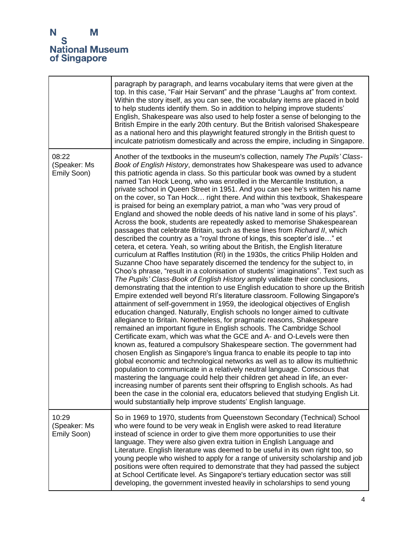|                                      | paragraph by paragraph, and learns vocabulary items that were given at the<br>top. In this case, "Fair Hair Servant" and the phrase "Laughs at" from context.<br>Within the story itself, as you can see, the vocabulary items are placed in bold<br>to help students identify them. So in addition to helping improve students'<br>English, Shakespeare was also used to help foster a sense of belonging to the<br>British Empire in the early 20th century. But the British valorised Shakespeare<br>as a national hero and this playwright featured strongly in the British quest to<br>inculcate patriotism domestically and across the empire, including in Singapore.                                                                                                                                                                                                                                                                                                                                                                                                                                                                                                                                                                                                                                                                                                                                                                                                                                                                                                                                                                                                                                                                                                                                                                                                                                                                                                                                                                                                                                                                                                                                                                                                                                                                                                                                                                                                                                                          |
|--------------------------------------|---------------------------------------------------------------------------------------------------------------------------------------------------------------------------------------------------------------------------------------------------------------------------------------------------------------------------------------------------------------------------------------------------------------------------------------------------------------------------------------------------------------------------------------------------------------------------------------------------------------------------------------------------------------------------------------------------------------------------------------------------------------------------------------------------------------------------------------------------------------------------------------------------------------------------------------------------------------------------------------------------------------------------------------------------------------------------------------------------------------------------------------------------------------------------------------------------------------------------------------------------------------------------------------------------------------------------------------------------------------------------------------------------------------------------------------------------------------------------------------------------------------------------------------------------------------------------------------------------------------------------------------------------------------------------------------------------------------------------------------------------------------------------------------------------------------------------------------------------------------------------------------------------------------------------------------------------------------------------------------------------------------------------------------------------------------------------------------------------------------------------------------------------------------------------------------------------------------------------------------------------------------------------------------------------------------------------------------------------------------------------------------------------------------------------------------------------------------------------------------------------------------------------------------|
| 08:22<br>(Speaker: Ms<br>Emily Soon) | Another of the textbooks in the museum's collection, namely The Pupils' Class-<br>Book of English History, demonstrates how Shakespeare was used to advance<br>this patriotic agenda in class. So this particular book was owned by a student<br>named Tan Hock Leong, who was enrolled in the Mercantile Institution, a<br>private school in Queen Street in 1951. And you can see he's written his name<br>on the cover, so Tan Hock right there. And within this textbook, Shakespeare<br>is praised for being an exemplary patriot, a man who "was very proud of<br>England and showed the noble deeds of his native land in some of his plays".<br>Across the book, students are repeatedly asked to memorise Shakespearean<br>passages that celebrate Britain, such as these lines from Richard II, which<br>described the country as a "royal throne of kings, this scepter'd isle" et<br>cetera, et cetera. Yeah, so writing about the British, the English literature<br>curriculum at Raffles Institution (RI) in the 1930s, the critics Philip Holden and<br>Suzanne Choo have separately discerned the tendency for the subject to, in<br>Choo's phrase, "result in a colonisation of students' imaginations". Text such as<br>The Pupils' Class-Book of English History amply validate their conclusions,<br>demonstrating that the intention to use English education to shore up the British<br>Empire extended well beyond RI's literature classroom. Following Singapore's<br>attainment of self-government in 1959, the ideological objectives of English<br>education changed. Naturally, English schools no longer aimed to cultivate<br>allegiance to Britain. Nonetheless, for pragmatic reasons, Shakespeare<br>remained an important figure in English schools. The Cambridge School<br>Certificate exam, which was what the GCE and A- and O-Levels were then<br>known as, featured a compulsory Shakespeare section. The government had<br>chosen English as Singapore's lingua franca to enable its people to tap into<br>global economic and technological networks as well as to allow its multiethnic<br>population to communicate in a relatively neutral language. Conscious that<br>mastering the language could help their children get ahead in life, an ever-<br>increasing number of parents sent their offspring to English schools. As had<br>been the case in the colonial era, educators believed that studying English Lit.<br>would substantially help improve students' English language. |
| 10:29<br>(Speaker: Ms<br>Emily Soon) | So in 1969 to 1970, students from Queenstown Secondary (Technical) School<br>who were found to be very weak in English were asked to read literature<br>instead of science in order to give them more opportunities to use their<br>language. They were also given extra tuition in English Language and<br>Literature. English literature was deemed to be useful in its own right too, so<br>young people who wished to apply for a range of university scholarship and job<br>positions were often required to demonstrate that they had passed the subject<br>at School Certificate level. As Singapore's tertiary education sector was still<br>developing, the government invested heavily in scholarships to send young                                                                                                                                                                                                                                                                                                                                                                                                                                                                                                                                                                                                                                                                                                                                                                                                                                                                                                                                                                                                                                                                                                                                                                                                                                                                                                                                                                                                                                                                                                                                                                                                                                                                                                                                                                                                        |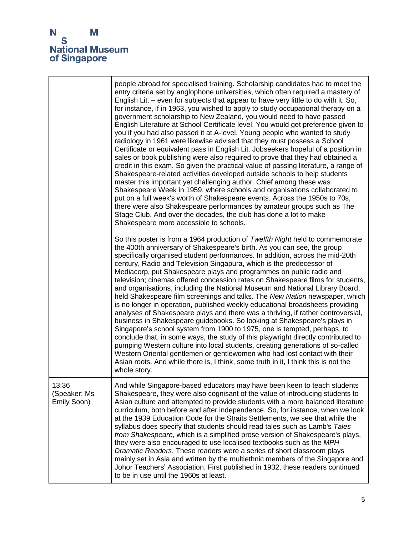Ē

|                                      | people abroad for specialised training. Scholarship candidates had to meet the<br>entry criteria set by anglophone universities, which often required a mastery of<br>English Lit. $-$ even for subjects that appear to have very little to do with it. So,<br>for instance, if in 1963, you wished to apply to study occupational therapy on a<br>government scholarship to New Zealand, you would need to have passed<br>English Literature at School Certificate level. You would get preference given to<br>you if you had also passed it at A-level. Young people who wanted to study<br>radiology in 1961 were likewise advised that they must possess a School<br>Certificate or equivalent pass in English Lit. Jobseekers hopeful of a position in<br>sales or book publishing were also required to prove that they had obtained a<br>credit in this exam. So given the practical value of passing literature, a range of<br>Shakespeare-related activities developed outside schools to help students<br>master this important yet challenging author. Chief among these was<br>Shakespeare Week in 1959, where schools and organisations collaborated to<br>put on a full week's worth of Shakespeare events. Across the 1950s to 70s,<br>there were also Shakespeare performances by amateur groups such as The<br>Stage Club. And over the decades, the club has done a lot to make<br>Shakespeare more accessible to schools. |
|--------------------------------------|----------------------------------------------------------------------------------------------------------------------------------------------------------------------------------------------------------------------------------------------------------------------------------------------------------------------------------------------------------------------------------------------------------------------------------------------------------------------------------------------------------------------------------------------------------------------------------------------------------------------------------------------------------------------------------------------------------------------------------------------------------------------------------------------------------------------------------------------------------------------------------------------------------------------------------------------------------------------------------------------------------------------------------------------------------------------------------------------------------------------------------------------------------------------------------------------------------------------------------------------------------------------------------------------------------------------------------------------------------------------------------------------------------------------------------------------|
|                                      | So this poster is from a 1964 production of Twelfth Night held to commemorate<br>the 400th anniversary of Shakespeare's birth. As you can see, the group<br>specifically organised student performances. In addition, across the mid-20th<br>century, Radio and Television Singapura, which is the predecessor of<br>Mediacorp, put Shakespeare plays and programmes on public radio and<br>television; cinemas offered concession rates on Shakespeare films for students,<br>and organisations, including the National Museum and National Library Board,<br>held Shakespeare film screenings and talks. The New Nation newspaper, which<br>is no longer in operation, published weekly educational broadsheets providing<br>analyses of Shakespeare plays and there was a thriving, if rather controversial,<br>business in Shakespeare guidebooks. So looking at Shakespeare's plays in<br>Singapore's school system from 1900 to 1975, one is tempted, perhaps, to<br>conclude that, in some ways, the study of this playwright directly contributed to<br>pumping Western culture into local students, creating generations of so-called<br>Western Oriental gentlemen or gentlewomen who had lost contact with their<br>Asian roots. And while there is, I think, some truth in it, I think this is not the<br>whole story.                                                                                                           |
| 13:36<br>(Speaker: Ms<br>Emily Soon) | And while Singapore-based educators may have been keen to teach students<br>Shakespeare, they were also cognisant of the value of introducing students to<br>Asian culture and attempted to provide students with a more balanced literature<br>curriculum, both before and after independence. So, for instance, when we look<br>at the 1939 Education Code for the Straits Settlements, we see that while the<br>syllabus does specify that students should read tales such as Lamb's Tales<br>from Shakespeare, which is a simplified prose version of Shakespeare's plays,<br>they were also encouraged to use localised textbooks such as the MPH<br>Dramatic Readers. These readers were a series of short classroom plays<br>mainly set in Asia and written by the multiethnic members of the Singapore and<br>Johor Teachers' Association. First published in 1932, these readers continued<br>to be in use until the 1960s at least.                                                                                                                                                                                                                                                                                                                                                                                                                                                                                                |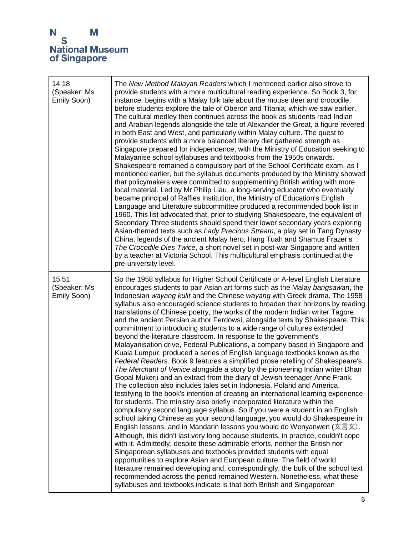| 14:18<br>(Speaker: Ms<br>Emily Soon) | The New Method Malayan Readers which I mentioned earlier also strove to<br>provide students with a more multicultural reading experience. So Book 3, for<br>instance, begins with a Malay folk tale about the mouse deer and crocodile,<br>before students explore the tale of Oberon and Titania, which we saw earlier.<br>The cultural medley then continues across the book as students read Indian<br>and Arabian legends alongside the tale of Alexander the Great, a figure revered<br>in both East and West, and particularly within Malay culture. The quest to<br>provide students with a more balanced literary diet gathered strength as<br>Singapore prepared for independence, with the Ministry of Education seeking to<br>Malayanise school syllabuses and textbooks from the 1950s onwards.<br>Shakespeare remained a compulsory part of the School Certificate exam, as I<br>mentioned earlier, but the syllabus documents produced by the Ministry showed<br>that policymakers were committed to supplementing British writing with more<br>local material. Led by Mr Philip Liau, a long-serving educator who eventually<br>became principal of Raffles Institution, the Ministry of Education's English<br>Language and Literature subcommittee produced a recommended book list in<br>1960. This list advocated that, prior to studying Shakespeare, the equivalent of<br>Secondary Three students should spend their lower secondary years exploring<br>Asian-themed texts such as Lady Precious Stream, a play set in Tang Dynasty<br>China, legends of the ancient Malay hero, Hang Tuah and Shamus Frazer's<br>The Crocodile Dies Twice, a short novel set in post-war Singapore and written<br>by a teacher at Victoria School. This multicultural emphasis continued at the<br>pre-university level.                                                                                                                                                                                                                                                                                                   |
|--------------------------------------|-----------------------------------------------------------------------------------------------------------------------------------------------------------------------------------------------------------------------------------------------------------------------------------------------------------------------------------------------------------------------------------------------------------------------------------------------------------------------------------------------------------------------------------------------------------------------------------------------------------------------------------------------------------------------------------------------------------------------------------------------------------------------------------------------------------------------------------------------------------------------------------------------------------------------------------------------------------------------------------------------------------------------------------------------------------------------------------------------------------------------------------------------------------------------------------------------------------------------------------------------------------------------------------------------------------------------------------------------------------------------------------------------------------------------------------------------------------------------------------------------------------------------------------------------------------------------------------------------------------------------------------------------------------------------------------------------------------------------------------------------------------------------------------------------------------------------------------------------------------------------------------------------------------------------------------------------------------------------------------------------------------------------------------------------------------------------------------------------------------------------------------|
| 15:51<br>(Speaker: Ms<br>Emily Soon) | So the 1958 syllabus for Higher School Certificate or A-level English Literature<br>encourages students to pair Asian art forms such as the Malay bangsawan, the<br>Indonesian wayang kulit and the Chinese wayang with Greek drama. The 1958<br>syllabus also encouraged science students to broaden their horizons by reading<br>translations of Chinese poetry, the works of the modern Indian writer Tagore<br>and the ancient Persian author Ferdowsi, alongside texts by Shakespeare. This<br>commitment to introducing students to a wide range of cultures extended<br>beyond the literature classroom. In response to the government's<br>Malayanisation drive, Federal Publications, a company based in Singapore and<br>Kuala Lumpur, produced a series of English language textbooks known as the<br>Federal Readers. Book 9 features a simplified prose retelling of Shakespeare's<br>The Merchant of Venice alongside a story by the pioneering Indian writer Dhan<br>Gopal Mukerji and an extract from the diary of Jewish teenager Anne Frank.<br>The collection also includes tales set in Indonesia, Poland and America,<br>testifying to the book's intention of creating an international learning experience<br>for students. The ministry also briefly incorporated literature within the<br>compulsory second language syllabus. So if you were a student in an English<br>school taking Chinese as your second language, you would do Shakespeare in<br>English lessons, and in Mandarin lessons you would do Wenyanwen $(\bar{\chi}$ 言文).<br>Although, this didn't last very long because students, in practice, couldn't cope<br>with it. Admittedly, despite these admirable efforts, neither the British nor<br>Singaporean syllabuses and textbooks provided students with equal<br>opportunities to explore Asian and European culture. The field of world<br>literature remained developing and, correspondingly, the bulk of the school text<br>recommended across the period remained Western. Nonetheless, what these<br>syllabuses and textbooks indicate is that both British and Singaporean |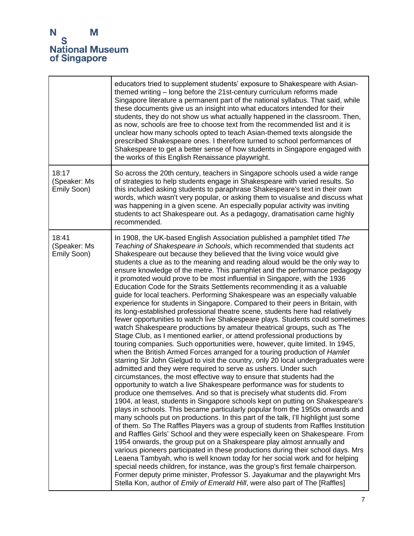|                                      | educators tried to supplement students' exposure to Shakespeare with Asian-<br>themed writing – long before the 21st-century curriculum reforms made<br>Singapore literature a permanent part of the national syllabus. That said, while<br>these documents give us an insight into what educators intended for their<br>students, they do not show us what actually happened in the classroom. Then,<br>as now, schools are free to choose text from the recommended list and it is<br>unclear how many schools opted to teach Asian-themed texts alongside the<br>prescribed Shakespeare ones. I therefore turned to school performances of<br>Shakespeare to get a better sense of how students in Singapore engaged with<br>the works of this English Renaissance playwright.                                                                                                                                                                                                                                                                                                                                                                                                                                                                                                                                                                                                                                                                                                                                                                                                                                                                                                                                                                                                                                                                                                                                                                                                                                                                                                                                                                                                                                                                                                                                                                                                                                                                                                                                                        |
|--------------------------------------|------------------------------------------------------------------------------------------------------------------------------------------------------------------------------------------------------------------------------------------------------------------------------------------------------------------------------------------------------------------------------------------------------------------------------------------------------------------------------------------------------------------------------------------------------------------------------------------------------------------------------------------------------------------------------------------------------------------------------------------------------------------------------------------------------------------------------------------------------------------------------------------------------------------------------------------------------------------------------------------------------------------------------------------------------------------------------------------------------------------------------------------------------------------------------------------------------------------------------------------------------------------------------------------------------------------------------------------------------------------------------------------------------------------------------------------------------------------------------------------------------------------------------------------------------------------------------------------------------------------------------------------------------------------------------------------------------------------------------------------------------------------------------------------------------------------------------------------------------------------------------------------------------------------------------------------------------------------------------------------------------------------------------------------------------------------------------------------------------------------------------------------------------------------------------------------------------------------------------------------------------------------------------------------------------------------------------------------------------------------------------------------------------------------------------------------------------------------------------------------------------------------------------------------|
| 18:17<br>(Speaker: Ms<br>Emily Soon) | So across the 20th century, teachers in Singapore schools used a wide range<br>of strategies to help students engage in Shakespeare with varied results. So<br>this included asking students to paraphrase Shakespeare's text in their own<br>words, which wasn't very popular, or asking them to visualise and discuss what<br>was happening in a given scene. An especially popular activity was inviting<br>students to act Shakespeare out. As a pedagogy, dramatisation came highly<br>recommended.                                                                                                                                                                                                                                                                                                                                                                                                                                                                                                                                                                                                                                                                                                                                                                                                                                                                                                                                                                                                                                                                                                                                                                                                                                                                                                                                                                                                                                                                                                                                                                                                                                                                                                                                                                                                                                                                                                                                                                                                                                 |
| 18:41<br>(Speaker: Ms<br>Emily Soon) | In 1908, the UK-based English Association published a pamphlet titled The<br>Teaching of Shakespeare in Schools, which recommended that students act<br>Shakespeare out because they believed that the living voice would give<br>students a clue as to the meaning and reading aloud would be the only way to<br>ensure knowledge of the metre. This pamphlet and the performance pedagogy<br>it promoted would prove to be most influential in Singapore, with the 1936<br>Education Code for the Straits Settlements recommending it as a valuable<br>guide for local teachers. Performing Shakespeare was an especially valuable<br>experience for students in Singapore. Compared to their peers in Britain, with<br>its long-established professional theatre scene, students here had relatively<br>fewer opportunities to watch live Shakespeare plays. Students could sometimes<br>watch Shakespeare productions by amateur theatrical groups, such as The<br>Stage Club, as I mentioned earlier, or attend professional productions by<br>touring companies. Such opportunities were, however, quite limited. In 1945,<br>when the British Armed Forces arranged for a touring production of Hamlet<br>starring Sir John Gielgud to visit the country, only 20 local undergraduates were<br>admitted and they were required to serve as ushers. Under such<br>circumstances, the most effective way to ensure that students had the<br>opportunity to watch a live Shakespeare performance was for students to<br>produce one themselves. And so that is precisely what students did. From<br>1904, at least, students in Singapore schools kept on putting on Shakespeare's<br>plays in schools. This became particularly popular from the 1950s onwards and<br>many schools put on productions. In this part of the talk, I'll highlight just some<br>of them. So The Raffles Players was a group of students from Raffles Institution<br>and Raffles Girls' School and they were especially keen on Shakespeare. From<br>1954 onwards, the group put on a Shakespeare play almost annually and<br>various pioneers participated in these productions during their school days. Mrs<br>Leaena Tambyah, who is well known today for her social work and for helping<br>special needs children, for instance, was the group's first female chairperson.<br>Former deputy prime minister, Professor S. Jayakumar and the playwright Mrs<br>Stella Kon, author of <i>Emily of Emerald Hill</i> , were also part of The [Raffles] |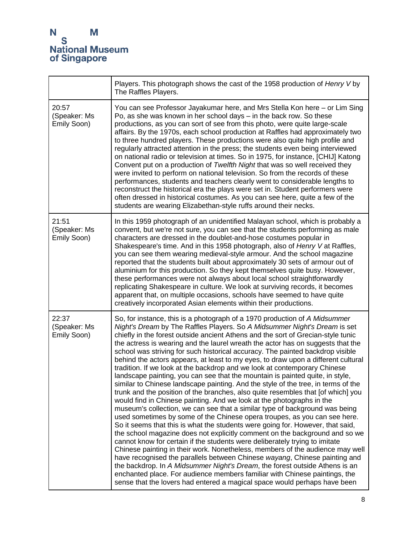|                                      | Players. This photograph shows the cast of the 1958 production of Henry V by<br>The Raffles Players.                                                                                                                                                                                                                                                                                                                                                                                                                                                                                                                                                                                                                                                                                                                                                                                                                                                                                                                                                                                                                                                                                                                                                                                                                                                                                                                                                                                                                                                                                                                                                                                                                                       |
|--------------------------------------|--------------------------------------------------------------------------------------------------------------------------------------------------------------------------------------------------------------------------------------------------------------------------------------------------------------------------------------------------------------------------------------------------------------------------------------------------------------------------------------------------------------------------------------------------------------------------------------------------------------------------------------------------------------------------------------------------------------------------------------------------------------------------------------------------------------------------------------------------------------------------------------------------------------------------------------------------------------------------------------------------------------------------------------------------------------------------------------------------------------------------------------------------------------------------------------------------------------------------------------------------------------------------------------------------------------------------------------------------------------------------------------------------------------------------------------------------------------------------------------------------------------------------------------------------------------------------------------------------------------------------------------------------------------------------------------------------------------------------------------------|
| 20:57<br>(Speaker: Ms<br>Emily Soon) | You can see Professor Jayakumar here, and Mrs Stella Kon here – or Lim Sing<br>Po, as she was known in her school days $-$ in the back row. So these<br>productions, as you can sort of see from this photo, were quite large-scale<br>affairs. By the 1970s, each school production at Raffles had approximately two<br>to three hundred players. These productions were also quite high profile and<br>regularly attracted attention in the press; the students even being interviewed<br>on national radio or television at times. So in 1975, for instance, [CHIJ] Katong<br>Convent put on a production of Twelfth Night that was so well received they<br>were invited to perform on national television. So from the records of these<br>performances, students and teachers clearly went to considerable lengths to<br>reconstruct the historical era the plays were set in. Student performers were<br>often dressed in historical costumes. As you can see here, quite a few of the<br>students are wearing Elizabethan-style ruffs around their necks.                                                                                                                                                                                                                                                                                                                                                                                                                                                                                                                                                                                                                                                                          |
| 21:51<br>(Speaker: Ms<br>Emily Soon) | In this 1959 photograph of an unidentified Malayan school, which is probably a<br>convent, but we're not sure, you can see that the students performing as male<br>characters are dressed in the doublet-and-hose costumes popular in<br>Shakespeare's time. And in this 1958 photograph, also of Henry V at Raffles,<br>you can see them wearing medieval-style armour. And the school magazine<br>reported that the students built about approximately 30 sets of armour out of<br>aluminium for this production. So they kept themselves quite busy. However,<br>these performances were not always about local school straightforwardly<br>replicating Shakespeare in culture. We look at surviving records, it becomes<br>apparent that, on multiple occasions, schools have seemed to have quite<br>creatively incorporated Asian elements within their productions.                                                                                                                                                                                                                                                                                                                                                                                                                                                                                                                                                                                                                                                                                                                                                                                                                                                                 |
| 22:37<br>(Speaker: Ms<br>Emily Soon) | So, for instance, this is a photograph of a 1970 production of A Midsummer<br>Night's Dream by The Raffles Players. So A Midsummer Night's Dream is set<br>chiefly in the forest outside ancient Athens and the sort of Grecian-style tunic<br>the actress is wearing and the laurel wreath the actor has on suggests that the<br>school was striving for such historical accuracy. The painted backdrop visible<br>behind the actors appears, at least to my eyes, to draw upon a different cultural<br>tradition. If we look at the backdrop and we look at contemporary Chinese<br>landscape painting, you can see that the mountain is painted quite, in style,<br>similar to Chinese landscape painting. And the style of the tree, in terms of the<br>trunk and the position of the branches, also quite resembles that [of which] you<br>would find in Chinese painting. And we look at the photographs in the<br>museum's collection, we can see that a similar type of background was being<br>used sometimes by some of the Chinese opera troupes, as you can see here.<br>So it seems that this is what the students were going for. However, that said,<br>the school magazine does not explicitly comment on the background and so we<br>cannot know for certain if the students were deliberately trying to imitate<br>Chinese painting in their work. Nonetheless, members of the audience may well<br>have recognised the parallels between Chinese wayang, Chinese painting and<br>the backdrop. In A Midsummer Night's Dream, the forest outside Athens is an<br>enchanted place. For audience members familiar with Chinese paintings, the<br>sense that the lovers had entered a magical space would perhaps have been |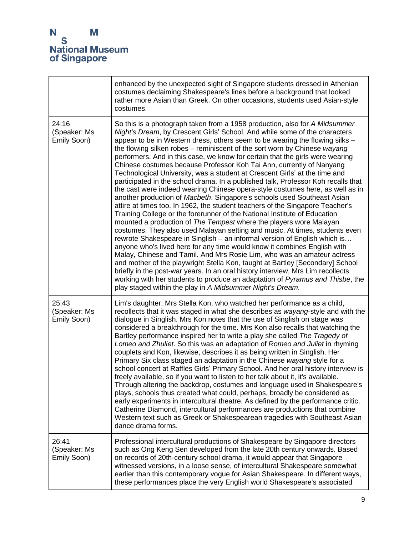|                                      | enhanced by the unexpected sight of Singapore students dressed in Athenian<br>costumes declaiming Shakespeare's lines before a background that looked<br>rather more Asian than Greek. On other occasions, students used Asian-style<br>costumes.                                                                                                                                                                                                                                                                                                                                                                                                                                                                                                                                                                                                                                                                                                                                                                                                                                                                                                                                                                                                                                                                                                                                                                                                                                                                                                                                                                                                                                      |
|--------------------------------------|----------------------------------------------------------------------------------------------------------------------------------------------------------------------------------------------------------------------------------------------------------------------------------------------------------------------------------------------------------------------------------------------------------------------------------------------------------------------------------------------------------------------------------------------------------------------------------------------------------------------------------------------------------------------------------------------------------------------------------------------------------------------------------------------------------------------------------------------------------------------------------------------------------------------------------------------------------------------------------------------------------------------------------------------------------------------------------------------------------------------------------------------------------------------------------------------------------------------------------------------------------------------------------------------------------------------------------------------------------------------------------------------------------------------------------------------------------------------------------------------------------------------------------------------------------------------------------------------------------------------------------------------------------------------------------------|
| 24:16<br>(Speaker: Ms<br>Emily Soon) | So this is a photograph taken from a 1958 production, also for A Midsummer<br>Night's Dream, by Crescent Girls' School. And while some of the characters<br>appear to be in Western dress, others seem to be wearing the flowing silks -<br>the flowing silken robes – reminiscent of the sort worn by Chinese wayang<br>performers. And in this case, we know for certain that the girls were wearing<br>Chinese costumes because Professor Koh Tai Ann, currently of Nanyang<br>Technological University, was a student at Crescent Girls' at the time and<br>participated in the school drama. In a published talk, Professor Koh recalls that<br>the cast were indeed wearing Chinese opera-style costumes here, as well as in<br>another production of Macbeth. Singapore's schools used Southeast Asian<br>attire at times too. In 1962, the student teachers of the Singapore Teacher's<br>Training College or the forerunner of the National Institute of Education<br>mounted a production of The Tempest where the players wore Malayan<br>costumes. They also used Malayan setting and music. At times, students even<br>rewrote Shakespeare in Singlish – an informal version of English which is<br>anyone who's lived here for any time would know it combines English with<br>Malay, Chinese and Tamil. And Mrs Rosie Lim, who was an amateur actress<br>and mother of the playwright Stella Kon, taught at Bartley [Secondary] School<br>briefly in the post-war years. In an oral history interview, Mrs Lim recollects<br>working with her students to produce an adaptation of Pyramus and Thisbe, the<br>play staged within the play in A Midsummer Night's Dream. |
| 25:43<br>(Speaker: Ms<br>Emily Soon) | Lim's daughter, Mrs Stella Kon, who watched her performance as a child,<br>recollects that it was staged in what she describes as wayang-style and with the<br>dialogue in Singlish. Mrs Kon notes that the use of Singlish on stage was<br>considered a breakthrough for the time. Mrs Kon also recalls that watching the<br>Bartley performance inspired her to write a play she called The Tragedy of<br>Lomeo and Zhuliet. So this was an adaptation of Romeo and Juliet in rhyming<br>couplets and Kon, likewise, describes it as being written in Singlish. Her<br>Primary Six class staged an adaptation in the Chinese wayang style for a<br>school concert at Raffles Girls' Primary School. And her oral history interview is<br>freely available, so if you want to listen to her talk about it, it's available.<br>Through altering the backdrop, costumes and language used in Shakespeare's<br>plays, schools thus created what could, perhaps, broadly be considered as<br>early experiments in intercultural theatre. As defined by the performance critic,<br>Catherine Diamond, intercultural performances are productions that combine<br>Western text such as Greek or Shakespearean tragedies with Southeast Asian<br>dance drama forms.                                                                                                                                                                                                                                                                                                                                                                                                                          |
| 26:41<br>(Speaker: Ms<br>Emily Soon) | Professional intercultural productions of Shakespeare by Singapore directors<br>such as Ong Keng Sen developed from the late 20th century onwards. Based<br>on records of 20th-century school drama, it would appear that Singapore<br>witnessed versions, in a loose sense, of intercultural Shakespeare somewhat<br>earlier than this contemporary vogue for Asian Shakespeare. In different ways,<br>these performances place the very English world Shakespeare's associated                                                                                                                                                                                                                                                                                                                                                                                                                                                                                                                                                                                                                                                                                                                                                                                                                                                                                                                                                                                                                                                                                                                                                                                                       |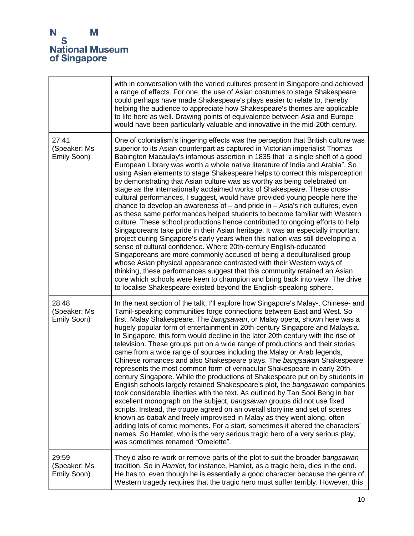

|                                      | with in conversation with the varied cultures present in Singapore and achieved<br>a range of effects. For one, the use of Asian costumes to stage Shakespeare<br>could perhaps have made Shakespeare's plays easier to relate to, thereby<br>helping the audience to appreciate how Shakespeare's themes are applicable<br>to life here as well. Drawing points of equivalence between Asia and Europe<br>would have been particularly valuable and innovative in the mid-20th century.                                                                                                                                                                                                                                                                                                                                                                                                                                                                                                                                                                                                                                                                                                                                                                                                                                                                                                                                                                                                                                                               |
|--------------------------------------|--------------------------------------------------------------------------------------------------------------------------------------------------------------------------------------------------------------------------------------------------------------------------------------------------------------------------------------------------------------------------------------------------------------------------------------------------------------------------------------------------------------------------------------------------------------------------------------------------------------------------------------------------------------------------------------------------------------------------------------------------------------------------------------------------------------------------------------------------------------------------------------------------------------------------------------------------------------------------------------------------------------------------------------------------------------------------------------------------------------------------------------------------------------------------------------------------------------------------------------------------------------------------------------------------------------------------------------------------------------------------------------------------------------------------------------------------------------------------------------------------------------------------------------------------------|
| 27:41<br>(Speaker: Ms<br>Emily Soon) | One of colonialism's lingering effects was the perception that British culture was<br>superior to its Asian counterpart as captured in Victorian imperialist Thomas<br>Babington Macaulay's infamous assertion in 1835 that "a single shelf of a good<br>European Library was worth a whole native literature of India and Arabia". So<br>using Asian elements to stage Shakespeare helps to correct this misperception<br>by demonstrating that Asian culture was as worthy as being celebrated on<br>stage as the internationally acclaimed works of Shakespeare. These cross-<br>cultural performances, I suggest, would have provided young people here the<br>chance to develop an awareness of $-$ and pride in $-$ Asia's rich cultures, even<br>as these same performances helped students to become familiar with Western<br>culture. These school productions hence contributed to ongoing efforts to help<br>Singaporeans take pride in their Asian heritage. It was an especially important<br>project during Singapore's early years when this nation was still developing a<br>sense of cultural confidence. Where 20th-century English-educated<br>Singaporeans are more commonly accused of being a deculturalised group<br>whose Asian physical appearance contrasted with their Western ways of<br>thinking, these performances suggest that this community retained an Asian<br>core which schools were keen to champion and bring back into view. The drive<br>to localise Shakespeare existed beyond the English-speaking sphere. |
| 28:48<br>(Speaker: Ms<br>Emily Soon) | In the next section of the talk, I'll explore how Singapore's Malay-, Chinese- and<br>Tamil-speaking communities forge connections between East and West. So<br>first, Malay Shakespeare. The bangsawan, or Malay opera, shown here was a<br>hugely popular form of entertainment in 20th-century Singapore and Malaysia.<br>In Singapore, this form would decline in the later 20th century with the rise of<br>television. These groups put on a wide range of productions and their stories<br>came from a wide range of sources including the Malay or Arab legends,<br>Chinese romances and also Shakespeare plays. The bangsawan Shakespeare<br>represents the most common form of vernacular Shakespeare in early 20th-<br>century Singapore. While the productions of Shakespeare put on by students in<br>English schools largely retained Shakespeare's plot, the bangsawan companies<br>took considerable liberties with the text. As outlined by Tan Sooi Beng in her<br>excellent monograph on the subject, bangsawan groups did not use fixed<br>scripts. Instead, the troupe agreed on an overall storyline and set of scenes<br>known as babak and freely improvised in Malay as they went along, often<br>adding lots of comic moments. For a start, sometimes it altered the characters'<br>names. So Hamlet, who is the very serious tragic hero of a very serious play,<br>was sometimes renamed "Omelette".                                                                                                                       |
| 29:59<br>(Speaker: Ms<br>Emily Soon) | They'd also re-work or remove parts of the plot to suit the broader bangsawan<br>tradition. So in <i>Hamlet</i> , for instance, Hamlet, as a tragic hero, dies in the end.<br>He has to, even though he is essentially a good character because the genre of<br>Western tragedy requires that the tragic hero must suffer terribly. However, this                                                                                                                                                                                                                                                                                                                                                                                                                                                                                                                                                                                                                                                                                                                                                                                                                                                                                                                                                                                                                                                                                                                                                                                                      |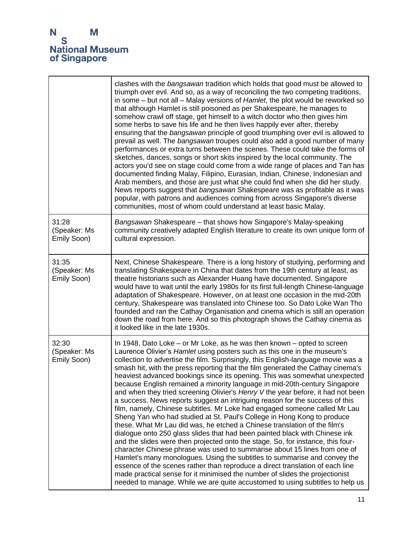

'n

|                                      | clashes with the bangsawan tradition which holds that good must be allowed to<br>triumph over evil. And so, as a way of reconciling the two competing traditions,<br>in some – but not all – Malay versions of Hamlet, the plot would be reworked so<br>that although Hamlet is still poisoned as per Shakespeare, he manages to<br>somehow crawl off stage, get himself to a witch doctor who then gives him<br>some herbs to save his life and he then lives happily ever after, thereby<br>ensuring that the bangsawan principle of good triumphing over evil is allowed to<br>prevail as well. The bangsawan troupes could also add a good number of many<br>performances or extra turns between the scenes. These could take the forms of<br>sketches, dances, songs or short skits inspired by the local community. The<br>actors you'd see on stage could come from a wide range of places and Tan has<br>documented finding Malay, Filipino, Eurasian, Indian, Chinese, Indonesian and<br>Arab members, and those are just what she could find when she did her study.<br>News reports suggest that bangsawan Shakespeare was as profitable as it was<br>popular, with patrons and audiences coming from across Singapore's diverse<br>communities, most of whom could understand at least basic Malay.                                                                                                                                                                 |
|--------------------------------------|---------------------------------------------------------------------------------------------------------------------------------------------------------------------------------------------------------------------------------------------------------------------------------------------------------------------------------------------------------------------------------------------------------------------------------------------------------------------------------------------------------------------------------------------------------------------------------------------------------------------------------------------------------------------------------------------------------------------------------------------------------------------------------------------------------------------------------------------------------------------------------------------------------------------------------------------------------------------------------------------------------------------------------------------------------------------------------------------------------------------------------------------------------------------------------------------------------------------------------------------------------------------------------------------------------------------------------------------------------------------------------------------------------------------------------------------------------------------------------|
| 31:28<br>(Speaker: Ms<br>Emily Soon) | Bangsawan Shakespeare - that shows how Singapore's Malay-speaking<br>community creatively adapted English literature to create its own unique form of<br>cultural expression.                                                                                                                                                                                                                                                                                                                                                                                                                                                                                                                                                                                                                                                                                                                                                                                                                                                                                                                                                                                                                                                                                                                                                                                                                                                                                                   |
| 31:35<br>(Speaker: Ms<br>Emily Soon) | Next, Chinese Shakespeare. There is a long history of studying, performing and<br>translating Shakespeare in China that dates from the 19th century at least, as<br>theatre historians such as Alexander Huang have documented. Singapore<br>would have to wait until the early 1980s for its first full-length Chinese-language<br>adaptation of Shakespeare. However, on at least one occasion in the mid-20th<br>century, Shakespeare was translated into Chinese too. So Dato Loke Wan Tho<br>founded and ran the Cathay Organisation and cinema which is still an operation<br>down the road from here. And so this photograph shows the Cathay cinema as<br>it looked like in the late 1930s.                                                                                                                                                                                                                                                                                                                                                                                                                                                                                                                                                                                                                                                                                                                                                                             |
| 32:30<br>(Speaker: Ms<br>Emily Soon) | In 1948, Dato Loke - or Mr Loke, as he was then known - opted to screen<br>Laurence Olivier's Hamlet using posters such as this one in the museum's<br>collection to advertise the film. Surprisingly, this English-language movie was a<br>smash hit, with the press reporting that the film generated the Cathay cinema's<br>heaviest advanced bookings since its opening. This was somewhat unexpected<br>because English remained a minority language in mid-20th-century Singapore<br>and when they tried screening Olivier's Henry V the year before, it had not been<br>a success. News reports suggest an intriguing reason for the success of this<br>film, namely, Chinese subtitles. Mr Loke had engaged someone called Mr Lau<br>Sheng Yan who had studied at St. Paul's College in Hong Kong to produce<br>these. What Mr Lau did was, he etched a Chinese translation of the film's<br>dialogue onto 250 glass slides that had been painted black with Chinese ink<br>and the slides were then projected onto the stage. So, for instance, this four-<br>character Chinese phrase was used to summarise about 15 lines from one of<br>Hamlet's many monologues. Using the subtitles to summarise and convey the<br>essence of the scenes rather than reproduce a direct translation of each line<br>made practical sense for it minimised the number of slides the projectionist<br>needed to manage. While we are quite accustomed to using subtitles to help us |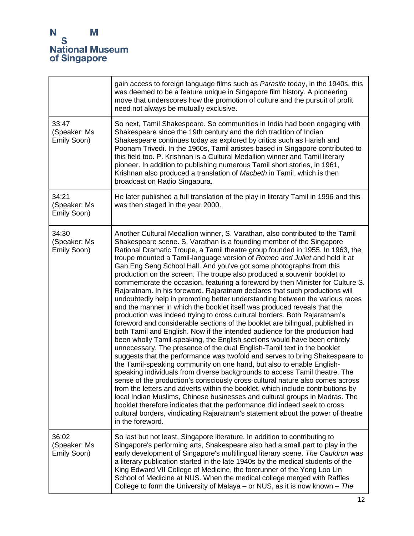|                                      | gain access to foreign language films such as Parasite today, in the 1940s, this<br>was deemed to be a feature unique in Singapore film history. A pioneering<br>move that underscores how the promotion of culture and the pursuit of profit<br>need not always be mutually exclusive.                                                                                                                                                                                                                                                                                                                                                                                                                                                                                                                                                                                                                                                                                                                                                                                                                                                                                                                                                                                                                                                                                                                                                                                                                                                                                                                                                                                                                                                                                                                                                                                                 |
|--------------------------------------|-----------------------------------------------------------------------------------------------------------------------------------------------------------------------------------------------------------------------------------------------------------------------------------------------------------------------------------------------------------------------------------------------------------------------------------------------------------------------------------------------------------------------------------------------------------------------------------------------------------------------------------------------------------------------------------------------------------------------------------------------------------------------------------------------------------------------------------------------------------------------------------------------------------------------------------------------------------------------------------------------------------------------------------------------------------------------------------------------------------------------------------------------------------------------------------------------------------------------------------------------------------------------------------------------------------------------------------------------------------------------------------------------------------------------------------------------------------------------------------------------------------------------------------------------------------------------------------------------------------------------------------------------------------------------------------------------------------------------------------------------------------------------------------------------------------------------------------------------------------------------------------------|
| 33:47<br>(Speaker: Ms<br>Emily Soon) | So next, Tamil Shakespeare. So communities in India had been engaging with<br>Shakespeare since the 19th century and the rich tradition of Indian<br>Shakespeare continues today as explored by critics such as Harish and<br>Poonam Trivedi. In the 1960s, Tamil artistes based in Singapore contributed to<br>this field too. P. Krishnan is a Cultural Medallion winner and Tamil literary<br>pioneer. In addition to publishing numerous Tamil short stories, in 1961,<br>Krishnan also produced a translation of Macbeth in Tamil, which is then<br>broadcast on Radio Singapura.                                                                                                                                                                                                                                                                                                                                                                                                                                                                                                                                                                                                                                                                                                                                                                                                                                                                                                                                                                                                                                                                                                                                                                                                                                                                                                  |
| 34:21<br>(Speaker: Ms<br>Emily Soon) | He later published a full translation of the play in literary Tamil in 1996 and this<br>was then staged in the year 2000.                                                                                                                                                                                                                                                                                                                                                                                                                                                                                                                                                                                                                                                                                                                                                                                                                                                                                                                                                                                                                                                                                                                                                                                                                                                                                                                                                                                                                                                                                                                                                                                                                                                                                                                                                               |
| 34:30<br>(Speaker: Ms<br>Emily Soon) | Another Cultural Medallion winner, S. Varathan, also contributed to the Tamil<br>Shakespeare scene. S. Varathan is a founding member of the Singapore<br>Rational Dramatic Troupe, a Tamil theatre group founded in 1955. In 1963, the<br>troupe mounted a Tamil-language version of Romeo and Juliet and held it at<br>Gan Eng Seng School Hall. And you've got some photographs from this<br>production on the screen. The troupe also produced a souvenir booklet to<br>commemorate the occasion, featuring a foreword by then Minister for Culture S.<br>Rajaratnam. In his foreword, Rajaratnam declares that such productions will<br>undoubtedly help in promoting better understanding between the various races<br>and the manner in which the booklet itself was produced reveals that the<br>production was indeed trying to cross cultural borders. Both Rajaratnam's<br>foreword and considerable sections of the booklet are bilingual, published in<br>both Tamil and English. Now if the intended audience for the production had<br>been wholly Tamil-speaking, the English sections would have been entirely<br>unnecessary. The presence of the dual English-Tamil text in the booklet<br>suggests that the performance was twofold and serves to bring Shakespeare to<br>the Tamil-speaking community on one hand, but also to enable English-<br>speaking individuals from diverse backgrounds to access Tamil theatre. The<br>sense of the production's consciously cross-cultural nature also comes across<br>from the letters and adverts within the booklet, which include contributions by<br>local Indian Muslims, Chinese businesses and cultural groups in Madras. The<br>booklet therefore indicates that the performance did indeed seek to cross<br>cultural borders, vindicating Rajaratnam's statement about the power of theatre<br>in the foreword. |
| 36:02<br>(Speaker: Ms<br>Emily Soon) | So last but not least, Singapore literature. In addition to contributing to<br>Singapore's performing arts, Shakespeare also had a small part to play in the<br>early development of Singapore's multilingual literary scene. The Cauldron was<br>a literary publication started in the late 1940s by the medical students of the<br>King Edward VII College of Medicine, the forerunner of the Yong Loo Lin<br>School of Medicine at NUS. When the medical college merged with Raffles<br>College to form the University of Malaya - or NUS, as it is now known - The                                                                                                                                                                                                                                                                                                                                                                                                                                                                                                                                                                                                                                                                                                                                                                                                                                                                                                                                                                                                                                                                                                                                                                                                                                                                                                                  |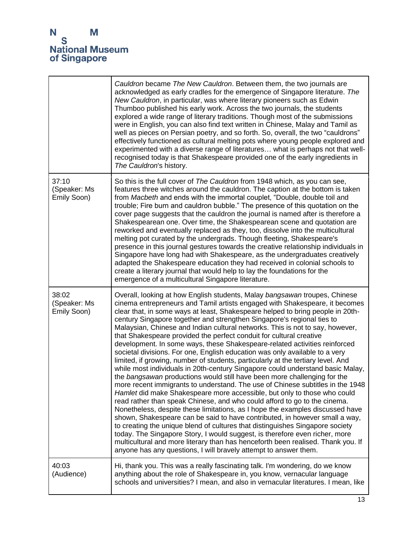|                                      | Cauldron became The New Cauldron. Between them, the two journals are<br>acknowledged as early cradles for the emergence of Singapore literature. The<br>New Cauldron, in particular, was where literary pioneers such as Edwin<br>Thumboo published his early work. Across the two journals, the students<br>explored a wide range of literary traditions. Though most of the submissions<br>were in English, you can also find text written in Chinese, Malay and Tamil as<br>well as pieces on Persian poetry, and so forth. So, overall, the two "cauldrons"<br>effectively functioned as cultural melting pots where young people explored and<br>experimented with a diverse range of literatures what is perhaps not that well-<br>recognised today is that Shakespeare provided one of the early ingredients in<br>The Cauldron's history.                                                                                                                                                                                                                                                                                                                                                                                                                                                                                                                                                                                                                                                                                                                                                                               |
|--------------------------------------|---------------------------------------------------------------------------------------------------------------------------------------------------------------------------------------------------------------------------------------------------------------------------------------------------------------------------------------------------------------------------------------------------------------------------------------------------------------------------------------------------------------------------------------------------------------------------------------------------------------------------------------------------------------------------------------------------------------------------------------------------------------------------------------------------------------------------------------------------------------------------------------------------------------------------------------------------------------------------------------------------------------------------------------------------------------------------------------------------------------------------------------------------------------------------------------------------------------------------------------------------------------------------------------------------------------------------------------------------------------------------------------------------------------------------------------------------------------------------------------------------------------------------------------------------------------------------------------------------------------------------------|
| 37:10<br>(Speaker: Ms<br>Emily Soon) | So this is the full cover of The Cauldron from 1948 which, as you can see,<br>features three witches around the cauldron. The caption at the bottom is taken<br>from Macbeth and ends with the immortal couplet, "Double, double toil and<br>trouble; Fire burn and cauldron bubble." The presence of this quotation on the<br>cover page suggests that the cauldron the journal is named after is therefore a<br>Shakespearean one. Over time, the Shakespearean scene and quotation are<br>reworked and eventually replaced as they, too, dissolve into the multicultural<br>melting pot curated by the undergrads. Though fleeting, Shakespeare's<br>presence in this journal gestures towards the creative relationship individuals in<br>Singapore have long had with Shakespeare, as the undergraduates creatively<br>adapted the Shakespeare education they had received in colonial schools to<br>create a literary journal that would help to lay the foundations for the<br>emergence of a multicultural Singapore literature.                                                                                                                                                                                                                                                                                                                                                                                                                                                                                                                                                                                        |
| 38:02<br>(Speaker: Ms<br>Emily Soon) | Overall, looking at how English students, Malay bangsawan troupes, Chinese<br>cinema entrepreneurs and Tamil artists engaged with Shakespeare, it becomes<br>clear that, in some ways at least, Shakespeare helped to bring people in 20th-<br>century Singapore together and strengthen Singapore's regional ties to<br>Malaysian, Chinese and Indian cultural networks. This is not to say, however,<br>that Shakespeare provided the perfect conduit for cultural creative<br>development. In some ways, these Shakespeare-related activities reinforced<br>societal divisions. For one, English education was only available to a very<br>limited, if growing, number of students, particularly at the tertiary level. And<br>while most individuals in 20th-century Singapore could understand basic Malay,<br>the bangsawan productions would still have been more challenging for the<br>more recent immigrants to understand. The use of Chinese subtitles in the 1948<br>Hamlet did make Shakespeare more accessible, but only to those who could<br>read rather than speak Chinese, and who could afford to go to the cinema.<br>Nonetheless, despite these limitations, as I hope the examples discussed have<br>shown, Shakespeare can be said to have contributed, in however small a way,<br>to creating the unique blend of cultures that distinguishes Singapore society<br>today. The Singapore Story, I would suggest, is therefore even richer, more<br>multicultural and more literary than has henceforth been realised. Thank you. If<br>anyone has any questions, I will bravely attempt to answer them. |
| 40:03<br>(Audience)                  | Hi, thank you. This was a really fascinating talk. I'm wondering, do we know<br>anything about the role of Shakespeare in, you know, vernacular language<br>schools and universities? I mean, and also in vernacular literatures. I mean, like                                                                                                                                                                                                                                                                                                                                                                                                                                                                                                                                                                                                                                                                                                                                                                                                                                                                                                                                                                                                                                                                                                                                                                                                                                                                                                                                                                                  |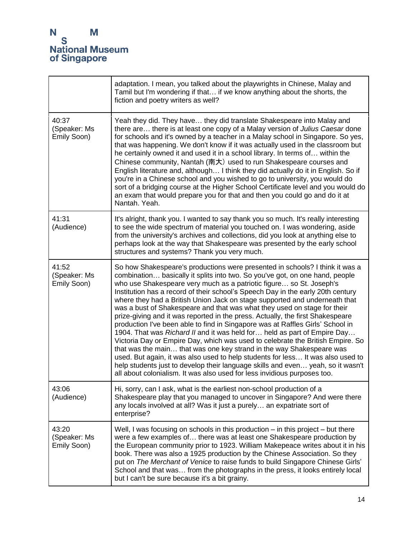|                                      | adaptation. I mean, you talked about the playwrights in Chinese, Malay and<br>Tamil but I'm wondering if that if we know anything about the shorts, the<br>fiction and poetry writers as well?                                                                                                                                                                                                                                                                                                                                                                                                                                                                                                                                                                                                                                                                                                                                                                                                                                                                                                                                               |
|--------------------------------------|----------------------------------------------------------------------------------------------------------------------------------------------------------------------------------------------------------------------------------------------------------------------------------------------------------------------------------------------------------------------------------------------------------------------------------------------------------------------------------------------------------------------------------------------------------------------------------------------------------------------------------------------------------------------------------------------------------------------------------------------------------------------------------------------------------------------------------------------------------------------------------------------------------------------------------------------------------------------------------------------------------------------------------------------------------------------------------------------------------------------------------------------|
| 40:37<br>(Speaker: Ms<br>Emily Soon) | Yeah they did. They have they did translate Shakespeare into Malay and<br>there are there is at least one copy of a Malay version of Julius Caesar done<br>for schools and it's owned by a teacher in a Malay school in Singapore. So yes,<br>that was happening. We don't know if it was actually used in the classroom but<br>he certainly owned it and used it in a school library. In terms of within the<br>Chinese community, Nantah (南大) used to run Shakespeare courses and<br>English literature and, although I think they did actually do it in English. So if<br>you're in a Chinese school and you wished to go to university, you would do<br>sort of a bridging course at the Higher School Certificate level and you would do<br>an exam that would prepare you for that and then you could go and do it at<br>Nantah. Yeah.                                                                                                                                                                                                                                                                                                 |
| 41:31<br>(Audience)                  | It's alright, thank you. I wanted to say thank you so much. It's really interesting<br>to see the wide spectrum of material you touched on. I was wondering, aside<br>from the university's archives and collections, did you look at anything else to<br>perhaps look at the way that Shakespeare was presented by the early school<br>structures and systems? Thank you very much.                                                                                                                                                                                                                                                                                                                                                                                                                                                                                                                                                                                                                                                                                                                                                         |
| 41:52<br>(Speaker: Ms<br>Emily Soon) | So how Shakespeare's productions were presented in schools? I think it was a<br>combination basically it splits into two. So you've got, on one hand, people<br>who use Shakespeare very much as a patriotic figure so St. Joseph's<br>Institution has a record of their school's Speech Day in the early 20th century<br>where they had a British Union Jack on stage supported and underneath that<br>was a bust of Shakespeare and that was what they used on stage for their<br>prize-giving and it was reported in the press. Actually, the first Shakespeare<br>production I've been able to find in Singapore was at Raffles Girls' School in<br>1904. That was Richard II and it was held for held as part of Empire Day<br>Victoria Day or Empire Day, which was used to celebrate the British Empire. So<br>that was the main that was one key strand in the way Shakespeare was<br>used. But again, it was also used to help students for less It was also used to<br>help students just to develop their language skills and even yeah, so it wasn't<br>all about colonialism. It was also used for less invidious purposes too. |
| 43:06<br>(Audience)                  | Hi, sorry, can I ask, what is the earliest non-school production of a<br>Shakespeare play that you managed to uncover in Singapore? And were there<br>any locals involved at all? Was it just a purely an expatriate sort of<br>enterprise?                                                                                                                                                                                                                                                                                                                                                                                                                                                                                                                                                                                                                                                                                                                                                                                                                                                                                                  |
| 43:20<br>(Speaker: Ms<br>Emily Soon) | Well, I was focusing on schools in this production $-$ in this project $-$ but there<br>were a few examples of there was at least one Shakespeare production by<br>the European community prior to 1923. William Makepeace writes about it in his<br>book. There was also a 1925 production by the Chinese Association. So they<br>put on The Merchant of Venice to raise funds to build Singapore Chinese Girls'<br>School and that was from the photographs in the press, it looks entirely local<br>but I can't be sure because it's a bit grainy.                                                                                                                                                                                                                                                                                                                                                                                                                                                                                                                                                                                        |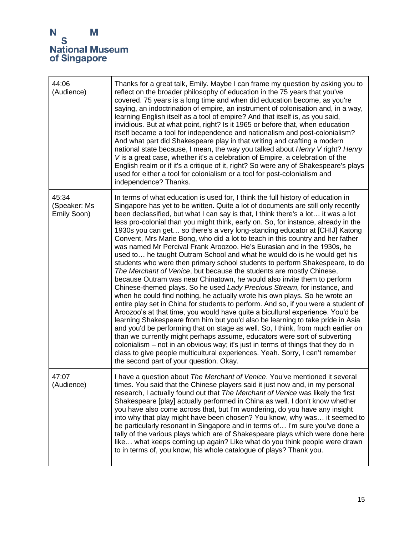| 44:06<br>(Audience)                  | Thanks for a great talk, Emily. Maybe I can frame my question by asking you to<br>reflect on the broader philosophy of education in the 75 years that you've<br>covered. 75 years is a long time and when did education become, as you're<br>saying, an indoctrination of empire, an instrument of colonisation and, in a way,<br>learning English itself as a tool of empire? And that itself is, as you said,<br>invidious. But at what point, right? Is it 1965 or before that, when education<br>itself became a tool for independence and nationalism and post-colonialism?<br>And what part did Shakespeare play in that writing and crafting a modern<br>national state because, I mean, the way you talked about Henry V right? Henry<br>V is a great case, whether it's a celebration of Empire, a celebration of the<br>English realm or if it's a critique of it, right? So were any of Shakespeare's plays<br>used for either a tool for colonialism or a tool for post-colonialism and<br>independence? Thanks.                                                                                                                                                                                                                                                                                                                                                                                                                                                                                                                                                                                                                                                                                       |
|--------------------------------------|--------------------------------------------------------------------------------------------------------------------------------------------------------------------------------------------------------------------------------------------------------------------------------------------------------------------------------------------------------------------------------------------------------------------------------------------------------------------------------------------------------------------------------------------------------------------------------------------------------------------------------------------------------------------------------------------------------------------------------------------------------------------------------------------------------------------------------------------------------------------------------------------------------------------------------------------------------------------------------------------------------------------------------------------------------------------------------------------------------------------------------------------------------------------------------------------------------------------------------------------------------------------------------------------------------------------------------------------------------------------------------------------------------------------------------------------------------------------------------------------------------------------------------------------------------------------------------------------------------------------------------------------------------------------------------------------------------------------|
| 45:34<br>(Speaker: Ms<br>Emily Soon) | In terms of what education is used for, I think the full history of education in<br>Singapore has yet to be written. Quite a lot of documents are still only recently<br>been declassified, but what I can say is that, I think there's a lot it was a lot<br>less pro-colonial than you might think, early on. So, for instance, already in the<br>1930s you can get so there's a very long-standing educator at [CHIJ] Katong<br>Convent, Mrs Marie Bong, who did a lot to teach in this country and her father<br>was named Mr Percival Frank Aroozoo. He's Eurasian and in the 1930s, he<br>used to he taught Outram School and what he would do is he would get his<br>students who were then primary school students to perform Shakespeare, to do<br>The Merchant of Venice, but because the students are mostly Chinese,<br>because Outram was near Chinatown, he would also invite them to perform<br>Chinese-themed plays. So he used Lady Precious Stream, for instance, and<br>when he could find nothing, he actually wrote his own plays. So he wrote an<br>entire play set in China for students to perform. And so, if you were a student of<br>Aroozoo's at that time, you would have quite a bicultural experience. You'd be<br>learning Shakespeare from him but you'd also be learning to take pride in Asia<br>and you'd be performing that on stage as well. So, I think, from much earlier on<br>than we currently might perhaps assume, educators were sort of subverting<br>colonialism – not in an obvious way; it's just in terms of things that they do in<br>class to give people multicultural experiences. Yeah. Sorry, I can't remember<br>the second part of your question. Okay. |
| 47:07<br>(Audience)                  | I have a question about The Merchant of Venice. You've mentioned it several<br>times. You said that the Chinese players said it just now and, in my personal<br>research, I actually found out that The Merchant of Venice was likely the first<br>Shakespeare [play] actually performed in China as well. I don't know whether<br>you have also come across that, but I'm wondering, do you have any insight<br>into why that play might have been chosen? You know, why was it seemed to<br>be particularly resonant in Singapore and in terms of I'm sure you've done a<br>tally of the various plays which are of Shakespeare plays which were done here<br>like what keeps coming up again? Like what do you think people were drawn<br>to in terms of, you know, his whole catalogue of plays? Thank you.                                                                                                                                                                                                                                                                                                                                                                                                                                                                                                                                                                                                                                                                                                                                                                                                                                                                                                    |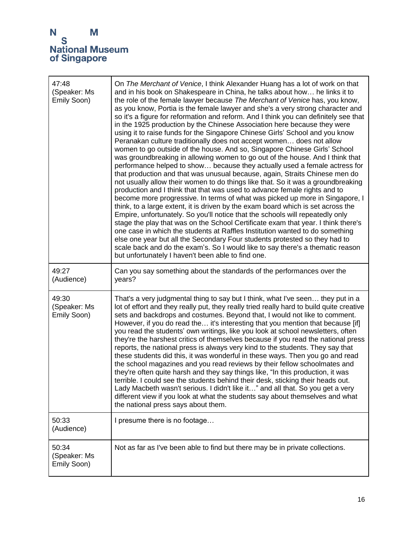| 47:48<br>(Speaker: Ms<br>Emily Soon) | On The Merchant of Venice, I think Alexander Huang has a lot of work on that<br>and in his book on Shakespeare in China, he talks about how he links it to<br>the role of the female lawyer because The Merchant of Venice has, you know,<br>as you know, Portia is the female lawyer and she's a very strong character and<br>so it's a figure for reformation and reform. And I think you can definitely see that<br>in the 1925 production by the Chinese Association here because they were<br>using it to raise funds for the Singapore Chinese Girls' School and you know<br>Peranakan culture traditionally does not accept women does not allow<br>women to go outside of the house. And so, Singapore Chinese Girls' School<br>was groundbreaking in allowing women to go out of the house. And I think that<br>performance helped to show because they actually used a female actress for<br>that production and that was unusual because, again, Straits Chinese men do<br>not usually allow their women to do things like that. So it was a groundbreaking<br>production and I think that that was used to advance female rights and to<br>become more progressive. In terms of what was picked up more in Singapore, I<br>think, to a large extent, it is driven by the exam board which is set across the<br>Empire, unfortunately. So you'll notice that the schools will repeatedly only<br>stage the play that was on the School Certificate exam that year. I think there's<br>one case in which the students at Raffles Institution wanted to do something<br>else one year but all the Secondary Four students protested so they had to<br>scale back and do the exam's. So I would like to say there's a thematic reason<br>but unfortunately I haven't been able to find one. |
|--------------------------------------|-----------------------------------------------------------------------------------------------------------------------------------------------------------------------------------------------------------------------------------------------------------------------------------------------------------------------------------------------------------------------------------------------------------------------------------------------------------------------------------------------------------------------------------------------------------------------------------------------------------------------------------------------------------------------------------------------------------------------------------------------------------------------------------------------------------------------------------------------------------------------------------------------------------------------------------------------------------------------------------------------------------------------------------------------------------------------------------------------------------------------------------------------------------------------------------------------------------------------------------------------------------------------------------------------------------------------------------------------------------------------------------------------------------------------------------------------------------------------------------------------------------------------------------------------------------------------------------------------------------------------------------------------------------------------------------------------------------------------------------------------------------------------------------------------------|
| 49:27<br>(Audience)                  | Can you say something about the standards of the performances over the<br>years?                                                                                                                                                                                                                                                                                                                                                                                                                                                                                                                                                                                                                                                                                                                                                                                                                                                                                                                                                                                                                                                                                                                                                                                                                                                                                                                                                                                                                                                                                                                                                                                                                                                                                                                    |
| 49:30<br>(Speaker: Ms<br>Emily Soon) | That's a very judgmental thing to say but I think, what I've seen they put in a<br>lot of effort and they really put, they really tried really hard to build quite creative<br>sets and backdrops and costumes. Beyond that, I would not like to comment.<br>However, if you do read the it's interesting that you mention that because [if]<br>you read the students' own writings, like you look at school newsletters, often<br>they're the harshest critics of themselves because if you read the national press<br>reports, the national press is always very kind to the students. They say that<br>these students did this, it was wonderful in these ways. Then you go and read<br>the school magazines and you read reviews by their fellow schoolmates and<br>they're often quite harsh and they say things like, "In this production, it was<br>terrible. I could see the students behind their desk, sticking their heads out.<br>Lady Macbeth wasn't serious. I didn't like it" and all that. So you get a very<br>different view if you look at what the students say about themselves and what<br>the national press says about them.                                                                                                                                                                                                                                                                                                                                                                                                                                                                                                                                                                                                                                                |
| 50:33<br>(Audience)                  | I presume there is no footage                                                                                                                                                                                                                                                                                                                                                                                                                                                                                                                                                                                                                                                                                                                                                                                                                                                                                                                                                                                                                                                                                                                                                                                                                                                                                                                                                                                                                                                                                                                                                                                                                                                                                                                                                                       |
| 50:34<br>(Speaker: Ms<br>Emily Soon) | Not as far as I've been able to find but there may be in private collections.                                                                                                                                                                                                                                                                                                                                                                                                                                                                                                                                                                                                                                                                                                                                                                                                                                                                                                                                                                                                                                                                                                                                                                                                                                                                                                                                                                                                                                                                                                                                                                                                                                                                                                                       |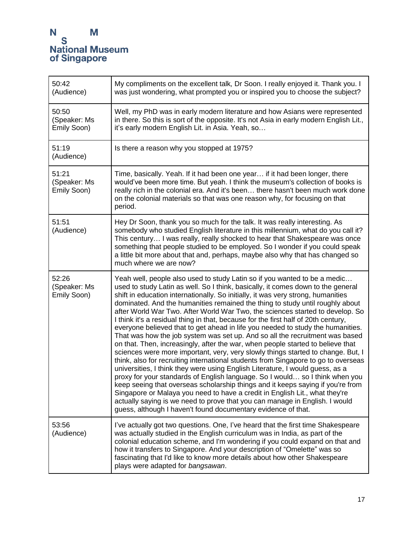| 50:42<br>(Audience)                  | My compliments on the excellent talk, Dr Soon. I really enjoyed it. Thank you. I<br>was just wondering, what prompted you or inspired you to choose the subject?                                                                                                                                                                                                                                                                                                                                                                                                                                                                                                                                                                                                                                                                                                                                                                                                                                                                                                                                                                                                                                                                                                                                                                                                                                                             |
|--------------------------------------|------------------------------------------------------------------------------------------------------------------------------------------------------------------------------------------------------------------------------------------------------------------------------------------------------------------------------------------------------------------------------------------------------------------------------------------------------------------------------------------------------------------------------------------------------------------------------------------------------------------------------------------------------------------------------------------------------------------------------------------------------------------------------------------------------------------------------------------------------------------------------------------------------------------------------------------------------------------------------------------------------------------------------------------------------------------------------------------------------------------------------------------------------------------------------------------------------------------------------------------------------------------------------------------------------------------------------------------------------------------------------------------------------------------------------|
| 50:50<br>(Speaker: Ms<br>Emily Soon) | Well, my PhD was in early modern literature and how Asians were represented<br>in there. So this is sort of the opposite. It's not Asia in early modern English Lit.,<br>it's early modern English Lit. in Asia. Yeah, so                                                                                                                                                                                                                                                                                                                                                                                                                                                                                                                                                                                                                                                                                                                                                                                                                                                                                                                                                                                                                                                                                                                                                                                                    |
| 51:19<br>(Audience)                  | Is there a reason why you stopped at 1975?                                                                                                                                                                                                                                                                                                                                                                                                                                                                                                                                                                                                                                                                                                                                                                                                                                                                                                                                                                                                                                                                                                                                                                                                                                                                                                                                                                                   |
| 51:21<br>(Speaker: Ms<br>Emily Soon) | Time, basically. Yeah. If it had been one year if it had been longer, there<br>would've been more time. But yeah. I think the museum's collection of books is<br>really rich in the colonial era. And it's been there hasn't been much work done<br>on the colonial materials so that was one reason why, for focusing on that<br>period.                                                                                                                                                                                                                                                                                                                                                                                                                                                                                                                                                                                                                                                                                                                                                                                                                                                                                                                                                                                                                                                                                    |
| 51:51<br>(Audience)                  | Hey Dr Soon, thank you so much for the talk. It was really interesting. As<br>somebody who studied English literature in this millennium, what do you call it?<br>This century I was really, really shocked to hear that Shakespeare was once<br>something that people studied to be employed. So I wonder if you could speak<br>a little bit more about that and, perhaps, maybe also why that has changed so<br>much where we are now?                                                                                                                                                                                                                                                                                                                                                                                                                                                                                                                                                                                                                                                                                                                                                                                                                                                                                                                                                                                     |
| 52:26<br>(Speaker: Ms<br>Emily Soon) | Yeah well, people also used to study Latin so if you wanted to be a medic<br>used to study Latin as well. So I think, basically, it comes down to the general<br>shift in education internationally. So initially, it was very strong, humanities<br>dominated. And the humanities remained the thing to study until roughly about<br>after World War Two. After World War Two, the sciences started to develop. So<br>I think it's a residual thing in that, because for the first half of 20th century,<br>everyone believed that to get ahead in life you needed to study the humanities.<br>That was how the job system was set up. And so all the recruitment was based<br>on that. Then, increasingly, after the war, when people started to believe that<br>sciences were more important, very, very slowly things started to change. But, I<br>think, also for recruiting international students from Singapore to go to overseas<br>universities, I think they were using English Literature, I would guess, as a<br>proxy for your standards of English language. So I would so I think when you<br>keep seeing that overseas scholarship things and it keeps saying if you're from<br>Singapore or Malaya you need to have a credit in English Lit., what they're<br>actually saying is we need to prove that you can manage in English. I would<br>guess, although I haven't found documentary evidence of that. |
| 53:56<br>(Audience)                  | I've actually got two questions. One, I've heard that the first time Shakespeare<br>was actually studied in the English curriculum was in India, as part of the<br>colonial education scheme, and I'm wondering if you could expand on that and<br>how it transfers to Singapore. And your description of "Omelette" was so<br>fascinating that I'd like to know more details about how other Shakespeare<br>plays were adapted for bangsawan.                                                                                                                                                                                                                                                                                                                                                                                                                                                                                                                                                                                                                                                                                                                                                                                                                                                                                                                                                                               |